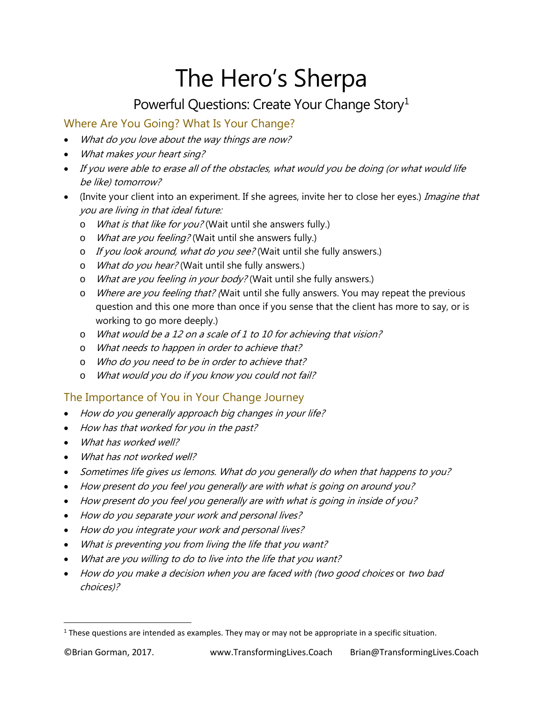# The Hero's Sherpa

# Powerful Questions: Create Your Change Story<sup>[1](#page-0-0)</sup>

## Where Are You Going? What Is Your Change?

- What do you love about the way things are now?
- What makes your heart sing?
- If you were able to erase all of the obstacles, what would you be doing (or what would life be like) tomorrow?
- (Invite your client into an experiment. If she agrees, invite her to close her eyes.) *Imagine that* you are living in that ideal future:
	- o What is that like for you? (Wait until she answers fully.)
	- o What are you feeling? (Wait until she answers fully.)
	- o If you look around, what do you see? (Wait until she fully answers.)
	- o What do you hear? (Wait until she fully answers.)
	- o What are you feeling in your body? (Wait until she fully answers.)
	- o *Where are you feeling that?* (Wait until she fully answers. You may repeat the previous question and this one more than once if you sense that the client has more to say, or is working to go more deeply.)
	- o What would be a 12 on a scale of 1 to 10 for achieving that vision?
	- o What needs to happen in order to achieve that?
	- o Who do you need to be in order to achieve that?
	- o What would you do if you know you could not fail?

### The Importance of You in Your Change Journey

- How do you generally approach big changes in your life?
- How has that worked for you in the past?
- What has worked well?
- What has not worked well?
- Sometimes life gives us lemons. What do you generally do when that happens to you?
- How present do you feel you generally are with what is going on around you?
- How present do you feel you generally are with what is going in inside of you?
- How do you separate your work and personal lives?
- How do you integrate your work and personal lives?
- What is preventing you from living the life that you want?
- What are you willing to do to live into the life that you want?
- How do you make a decision when you are faced with (two good choices or two bad choices)?

<span id="page-0-0"></span> $1$  These questions are intended as examples. They may or may not be appropriate in a specific situation.